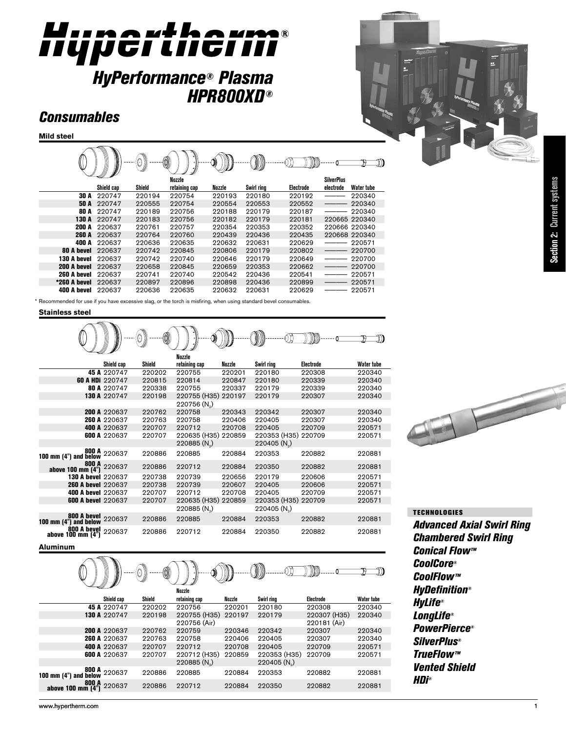# Hupertheim®

# *HyPerformance® Plasma HPR800XD ®*

# *Consumables*

**Mild steel**

|              | ∖          | 0)<br>OI |               |        | )))))      |           |                   |               |
|--------------|------------|----------|---------------|--------|------------|-----------|-------------------|---------------|
|              |            |          | Nozzle        |        |            |           | <b>SilverPlus</b> |               |
|              | Shield cap | Shield   | retaining cap | Nozzle | Swirl ring | Electrode | electrode         | Water tube    |
| 30 A         | 220747     | 220194   | 220754        | 220193 | 220180     | 220192    |                   | 220340        |
| 50 A         | 220747     | 220555   | 220754        | 220554 | 220553     | 220552    |                   | 220340        |
| 80 A         | 220747     | 220189   | 220756        | 220188 | 220179     | 220187    |                   | 220340        |
| 130 A        | 220747     | 220183   | 220756        | 220182 | 220179     | 220181    |                   | 220665 220340 |
| <b>200 A</b> | 220637     | 220761   | 220757        | 220354 | 220353     | 220352    |                   | 220666 220340 |
| <b>260 A</b> | 220637     | 220764   | 220760        | 220439 | 220436     | 220435    |                   | 220668 220340 |
| 400 A        | 220637     | 220636   | 220635        | 220632 | 220631     | 220629    |                   | 220571        |
| 80 A hevel   | 220637     | 220742   | 220845        | 220806 | 220179     | 220802    |                   | 220700        |
| 130 A bevel  | 220637     | 220742   | 220740        | 220646 | 220179     | 220649    |                   | 220700        |
| 200 A bevel  | 220637     | 220658   | 220845        | 220659 | 220353     | 220662    |                   | 220700        |
| 260 A bevel  | 220637     | 220741   | 220740        | 220542 | 220436     | 220541    |                   | 220571        |
| *260 A bevel | 220637     | 220897   | 220896        | 220898 | 220436     | 220899    |                   | 220571        |
| 400 A bevel  | 220637     | 220636   | 220635        | 220632 | 220631     | 220629    |                   | 220571        |

\* Recommended for use if you have excessive slag, or the torch is misfiring, when using standard bevel consumables

#### **Stainless steel**

19 תו (ו M **Nozzle Shield cap Shield retaining cap Nozzle Swirl ring Electrode Water tube** 45 A 220747 220202 220755 220201 220180 220308 220340 60 A HDi 220747 220815 220814 220847 220180 220339 220340 80 A 220747 220338 220755 220337 220179 220339 220340 220755 (H35) 220197 220756 (N<sub>2</sub>)<br>220758 200 A 220637 220762 220758 220343 220342 220307 220340 260 A 220637 220763 220758 220406 220405 220307 220340 400 A 220637 220707 220712 220708 220405 220709 220571 220635 (H35) 220859 220353 (H35) 220709<br>220885 (N<sub>2</sub>) 220405 (N<sub>2</sub>) 220405 (N<sub>2</sub>) 800 A 100 mm (4") and below 220637 220886 220885 220884 220353 220882 220881 800 A above 100 mm (4") 220637 220886 220712 220884 220350 220882 220881 130 A bevel 220637 220738 220739 220656 220179 220606 220571 260 A bevel 220637 220738 220739 220607 220405 220606 220571 400 A bevel 220637 220707 220712 220708 220405 220709 220571 220635 (H35) 220859<br>220885 (N<sub>3</sub>)  $220405 (N<sub>2</sub>)$ 800 A bevel 100 mm (4") and below 220637 220886 220885 220884 220353 220882 220881 800 A bevel above 100 mm (4") 220637 220886 220712 220884 220350 220882 220881

# 

#### **Aluminum**

| ∭<br>0)<br>Nozzle                            |                     |        |                         |        |                |              |                   |  |
|----------------------------------------------|---------------------|--------|-------------------------|--------|----------------|--------------|-------------------|--|
|                                              | Shield cap          | Shield | retaining cap           | Nozzle | Swirl ring     | Electrode    | <b>Water tube</b> |  |
|                                              | 45 A 220747         | 220202 | 220756                  | 220201 | 220180         | 220308       | 220340            |  |
|                                              | 130 A 220747        | 220198 | 220755 (H35)            | 220197 | 220179         | 220307 (H35) | 220340            |  |
|                                              |                     |        | 220756 (Air)            |        |                | 220181 (Air) |                   |  |
|                                              | <b>200 A 220637</b> | 220762 | 220759                  | 220346 | 220342         | 220307       | 220340            |  |
|                                              | 260 A 220637        | 220763 | 220758                  | 220406 | 220405         | 220307       | 220340            |  |
|                                              | 400 A 220637        | 220707 | 220712                  | 220708 | 220405         | 220709       | 220571            |  |
|                                              | <b>600 A 220637</b> | 220707 | 220712 (H35)            | 220859 | 220353 (H35)   | 220709       | 220571            |  |
|                                              |                     |        | 220885(N <sub>a</sub> ) |        | $220405 (N_a)$ |              |                   |  |
| 800 A 220637<br>100 mm (4") and below 220637 |                     | 220886 | 220885                  | 220884 | 220353         | 220882       | 220881            |  |
| 800 A<br>above 100 mm (4")                   | 220637              | 220886 | 220712                  | 220884 | 220350         | 220882       | 220881            |  |

## **TECHNOLOGIES**

*Advanced Axial Swirl Ring Chambered Swirl Ring Conical Flow™ CoolCore® CoolFlow™ HyDefinition® HyLife® LongLife® PowerPierce® SilverPlus® TrueFlow™ Vented Shield HDi®*